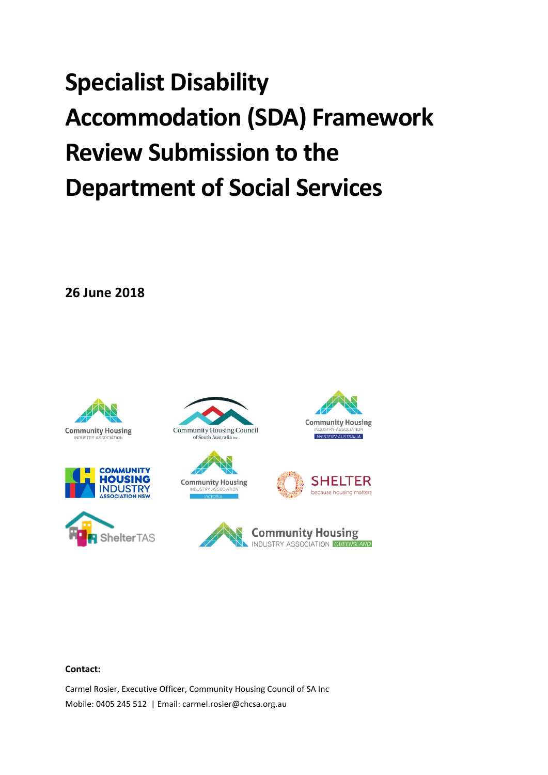# **Specialist Disability Accommodation (SDA) Framework Review Submission to the Department of Social Services**

**26 June 2018**

















#### **Contact:**

Carmel Rosier, Executive Officer, Community Housing Council of SA Inc Mobile: 0405 245 512 | Email: carmel.rosier@chcsa.org.au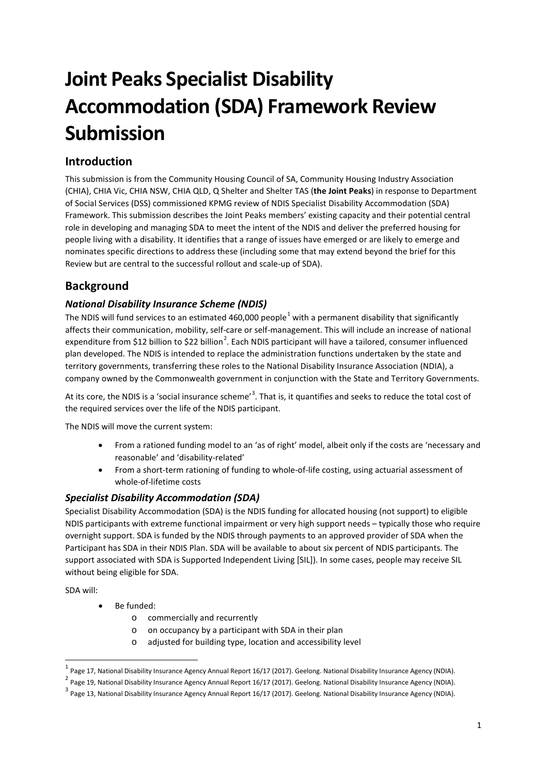# **Joint Peaks Specialist Disability Accommodation (SDA) Framework Review Submission**

# **Introduction**

This submission is from the Community Housing Council of SA, Community Housing Industry Association (CHIA), CHIA Vic, CHIA NSW, CHIA QLD, Q Shelter and Shelter TAS (**the Joint Peaks**) in response to Department of Social Services (DSS) commissioned KPMG review of NDIS Specialist Disability Accommodation (SDA) Framework. This submission describes the Joint Peaks members' existing capacity and their potential central role in developing and managing SDA to meet the intent of the NDIS and deliver the preferred housing for people living with a disability. It identifies that a range of issues have emerged or are likely to emerge and nominates specific directions to address these (including some that may extend beyond the brief for this Review but are central to the successful rollout and scale-up of SDA).

# **Background**

#### *National Disability Insurance Scheme (NDIS)*

The NDIS will fund services to an estimated 460,000 people<sup>[1](#page-1-0)</sup> with a permanent disability that significantly affects their communication, mobility, self-care or self-management. This will include an increase of national expenditure from \$1[2](#page-1-1) billion to \$22 billion<sup>2</sup>. Each NDIS participant will have a tailored, consumer influenced plan developed. The NDIS is intended to replace the administration functions undertaken by the state and territory governments, transferring these roles to the National Disability Insurance Association (NDIA), a company owned by the Commonwealth government in conjunction with the State and Territory Governments.

At its core, the NDIS is a 'social insurance scheme'<sup>[3](#page-1-2)</sup>. That is, it quantifies and seeks to reduce the total cost of the required services over the life of the NDIS participant.

The NDIS will move the current system:

- From a rationed funding model to an 'as of right' model, albeit only if the costs are 'necessary and reasonable' and 'disability-related'
- From a short-term rationing of funding to whole-of-life costing, using actuarial assessment of whole-of-lifetime costs

#### *Specialist Disability Accommodation (SDA)*

Specialist Disability Accommodation (SDA) is the NDIS funding for allocated housing (not support) to eligible NDIS participants with extreme functional impairment or very high support needs – typically those who require overnight support. SDA is funded by the NDIS through payments to an approved provider of SDA when the Participant has SDA in their NDIS Plan. SDA will be available to about six percent of NDIS participants. The support associated with SDA is Supported Independent Living [SIL]). In some cases, people may receive SIL without being eligible for SDA.

SDA will:

- Be funded:
	- o commercially and recurrently
	- o on occupancy by a participant with SDA in their plan
	- o adjusted for building type, location and accessibility level

 <sup>1</sup> Page 17, National Disability Insurance Agency Annual Report 16/17 (2017). Geelong. National Disability Insurance Agency (NDIA).

<span id="page-1-1"></span><span id="page-1-0"></span><sup>&</sup>lt;sup>2</sup> Page 19, National Disability Insurance Agency Annual Report 16/17 (2017). Geelong. National Disability Insurance Agency (NDIA).

<span id="page-1-2"></span> $3$  Page 13, National Disability Insurance Agency Annual Report 16/17 (2017). Geelong. National Disability Insurance Agency (NDIA).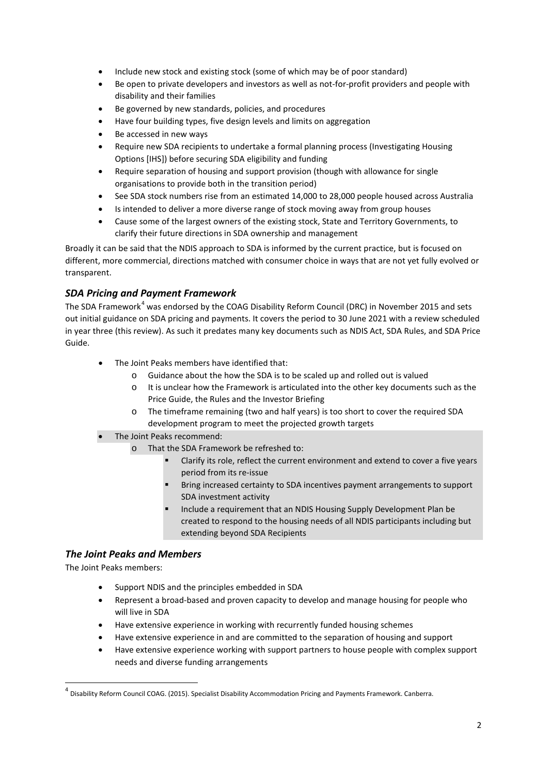- Include new stock and existing stock (some of which may be of poor standard)
- Be open to private developers and investors as well as not-for-profit providers and people with disability and their families
- Be governed by new standards, policies, and procedures
- Have four building types, five design levels and limits on aggregation
- Be accessed in new ways
- Require new SDA recipients to undertake a formal planning process (Investigating Housing Options [IHS]) before securing SDA eligibility and funding
- Require separation of housing and support provision (though with allowance for single organisations to provide both in the transition period)
- See SDA stock numbers rise from an estimated 14,000 to 28,000 people housed across Australia
- Is intended to deliver a more diverse range of stock moving away from group houses
- Cause some of the largest owners of the existing stock, State and Territory Governments, to clarify their future directions in SDA ownership and management

Broadly it can be said that the NDIS approach to SDA is informed by the current practice, but is focused on different, more commercial, directions matched with consumer choice in ways that are not yet fully evolved or transparent.

#### *SDA Pricing and Payment Framework*

The SDA Framework<sup>[4](#page-2-0)</sup> was endorsed by the COAG Disability Reform Council (DRC) in November 2015 and sets out initial guidance on SDA pricing and payments. It covers the period to 30 June 2021 with a review scheduled in year three (this review). As such it predates many key documents such as NDIS Act, SDA Rules, and SDA Price Guide.

- The Joint Peaks members have identified that:
	- o Guidance about the how the SDA is to be scaled up and rolled out is valued
	- o It is unclear how the Framework is articulated into the other key documents such as the Price Guide, the Rules and the Investor Briefing
	- o The timeframe remaining (two and half years) is too short to cover the required SDA development program to meet the projected growth targets
- The Joint Peaks recommend:
	- o That the SDA Framework be refreshed to:
		- Clarify its role, reflect the current environment and extend to cover a five years period from its re-issue
		- Bring increased certainty to SDA incentives payment arrangements to support SDA investment activity
		- Include a requirement that an NDIS Housing Supply Development Plan be created to respond to the housing needs of all NDIS participants including but extending beyond SDA Recipients

#### *The Joint Peaks and Members*

The Joint Peaks members:

- Support NDIS and the principles embedded in SDA
- Represent a broad-based and proven capacity to develop and manage housing for people who will live in SDA
- Have extensive experience in working with recurrently funded housing schemes
- Have extensive experience in and are committed to the separation of housing and support
- Have extensive experience working with support partners to house people with complex support needs and diverse funding arrangements

<span id="page-2-0"></span> $^4$  Disability Reform Council COAG. (2015). Specialist Disability Accommodation Pricing and Payments Framework. Canberra.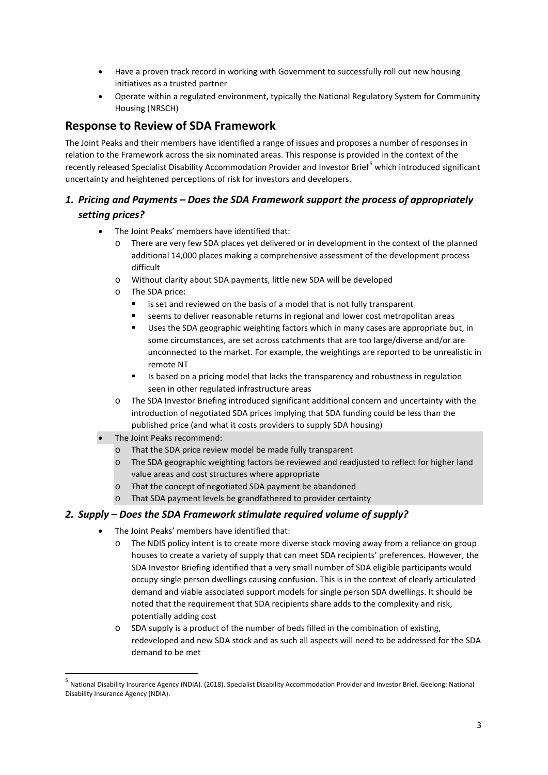- Have a proven track record in working with Government to successfully roll out new housing initiatives as a trusted partner
- Operate within a regulated environment, typically the National Regulatory System for Community Housing (NRSCH)

## **Response to Review of SDA Framework**

The Joint Peaks and their members have identified a range of issues and proposes a number of responses in relation to the Framework across the six nominated areas. This response is provided in the context of the recently released Specialist Disability Accommodation Provider and Investor Brief<sup>[5](#page-3-0)</sup> which introduced significant uncertainty and heightened perceptions of risk for investors and developers.

### *1. Pricing and Payments – Does the SDA Framework support the process of appropriately setting prices?*

- The Joint Peaks' members have identified that:
	- o There are very few SDA places yet delivered or in development in the context of the planned additional 14,000 places making a comprehensive assessment of the development process difficult
	- o Without clarity about SDA payments, little new SDA will be developed
	- o The SDA price:
		- is set and reviewed on the basis of a model that is not fully transparent
		- seems to deliver reasonable returns in regional and lower cost metropolitan areas
		- Uses the SDA geographic weighting factors which in many cases are appropriate but, in some circumstances, are set across catchments that are too large/diverse and/or are unconnected to the market. For example, the weightings are reported to be unrealistic in remote NT
		- **IS based on a pricing model that lacks the transparency and robustness in regulation** seen in other regulated infrastructure areas
	- o The SDA Investor Briefing introduced significant additional concern and uncertainty with the introduction of negotiated SDA prices implying that SDA funding could be less than the published price (and what it costs providers to supply SDA housing)
- The Joint Peaks recommend:
	- o That the SDA price review model be made fully transparent
	- o The SDA geographic weighting factors be reviewed and readjusted to reflect for higher land value areas and cost structures where appropriate
	- o That the concept of negotiated SDA payment be abandoned
	- o That SDA payment levels be grandfathered to provider certainty

#### *2. Supply – Does the SDA Framework stimulate required volume of supply?*

- The Joint Peaks' members have identified that:
	- o The NDIS policy intent is to create more diverse stock moving away from a reliance on group houses to create a variety of supply that can meet SDA recipients' preferences. However, the SDA Investor Briefing identified that a very small number of SDA eligible participants would occupy single person dwellings causing confusion. This is in the context of clearly articulated demand and viable associated support models for single person SDA dwellings. It should be noted that the requirement that SDA recipients share adds to the complexity and risk, potentially adding cost
	- o SDA supply is a product of the number of beds filled in the combination of existing, redeveloped and new SDA stock and as such all aspects will need to be addressed for the SDA demand to be met

<span id="page-3-0"></span> <sup>5</sup> National Disability Insurance Agency (NDIA). (2018). Specialist Disability Accommodation Provider and Investor Brief. Geelong: National Disability Insurance Agency (NDIA).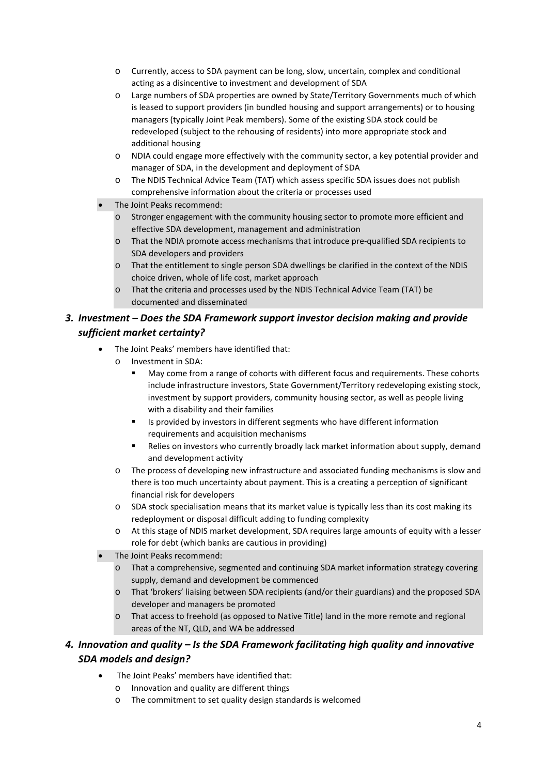- o Currently, access to SDA payment can be long, slow, uncertain, complex and conditional acting as a disincentive to investment and development of SDA
- o Large numbers of SDA properties are owned by State/Territory Governments much of which is leased to support providers (in bundled housing and support arrangements) or to housing managers (typically Joint Peak members). Some of the existing SDA stock could be redeveloped (subject to the rehousing of residents) into more appropriate stock and additional housing
- o NDIA could engage more effectively with the community sector, a key potential provider and manager of SDA, in the development and deployment of SDA
- o The NDIS Technical Advice Team (TAT) which assess specific SDA issues does not publish comprehensive information about the criteria or processes used
- The Joint Peaks recommend:
	- o Stronger engagement with the community housing sector to promote more efficient and effective SDA development, management and administration
	- o That the NDIA promote access mechanisms that introduce pre-qualified SDA recipients to SDA developers and providers
	- o That the entitlement to single person SDA dwellings be clarified in the context of the NDIS choice driven, whole of life cost, market approach
	- o That the criteria and processes used by the NDIS Technical Advice Team (TAT) be documented and disseminated

#### *3. Investment – Does the SDA Framework support investor decision making and provide sufficient market certainty?*

- The Joint Peaks' members have identified that:
	- o Investment in SDA:
		- May come from a range of cohorts with different focus and requirements. These cohorts include infrastructure investors, State Government/Territory redeveloping existing stock, investment by support providers, community housing sector, as well as people living with a disability and their families
		- **IS provided by investors in different segments who have different information** requirements and acquisition mechanisms
		- **EXELUARE:** Relies on investors who currently broadly lack market information about supply, demand and development activity
	- o The process of developing new infrastructure and associated funding mechanisms is slow and there is too much uncertainty about payment. This is a creating a perception of significant financial risk for developers
	- o SDA stock specialisation means that its market value is typically less than its cost making its redeployment or disposal difficult adding to funding complexity
	- o At this stage of NDIS market development, SDA requires large amounts of equity with a lesser role for debt (which banks are cautious in providing)
- The Joint Peaks recommend:
	- o That a comprehensive, segmented and continuing SDA market information strategy covering supply, demand and development be commenced
	- o That 'brokers' liaising between SDA recipients (and/or their guardians) and the proposed SDA developer and managers be promoted
	- o That access to freehold (as opposed to Native Title) land in the more remote and regional areas of the NT, QLD, and WA be addressed

#### *4. Innovation and quality – Is the SDA Framework facilitating high quality and innovative SDA models and design?*

- The Joint Peaks' members have identified that:
	- o Innovation and quality are different things
	- o The commitment to set quality design standards is welcomed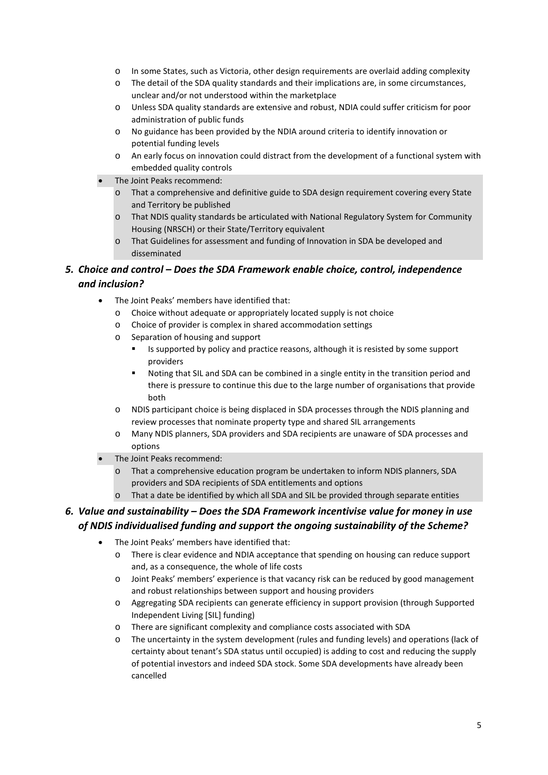- o In some States, such as Victoria, other design requirements are overlaid adding complexity
- o The detail of the SDA quality standards and their implications are, in some circumstances, unclear and/or not understood within the marketplace
- o Unless SDA quality standards are extensive and robust, NDIA could suffer criticism for poor administration of public funds
- o No guidance has been provided by the NDIA around criteria to identify innovation or potential funding levels
- o An early focus on innovation could distract from the development of a functional system with embedded quality controls
- The Joint Peaks recommend:
	- o That a comprehensive and definitive guide to SDA design requirement covering every State and Territory be published
	- o That NDIS quality standards be articulated with National Regulatory System for Community Housing (NRSCH) or their State/Territory equivalent
	- o That Guidelines for assessment and funding of Innovation in SDA be developed and disseminated

#### *5. Choice and control – Does the SDA Framework enable choice, control, independence and inclusion?*

- The Joint Peaks' members have identified that:
	- o Choice without adequate or appropriately located supply is not choice
	- o Choice of provider is complex in shared accommodation settings
	- o Separation of housing and support
		- Is supported by policy and practice reasons, although it is resisted by some support providers
		- Noting that SIL and SDA can be combined in a single entity in the transition period and there is pressure to continue this due to the large number of organisations that provide both
	- o NDIS participant choice is being displaced in SDA processes through the NDIS planning and review processes that nominate property type and shared SIL arrangements
	- o Many NDIS planners, SDA providers and SDA recipients are unaware of SDA processes and options
- The Joint Peaks recommend:
	- o That a comprehensive education program be undertaken to inform NDIS planners, SDA providers and SDA recipients of SDA entitlements and options
	- o That a date be identified by which all SDA and SIL be provided through separate entities

#### *6. Value and sustainability – Does the SDA Framework incentivise value for money in use of NDIS individualised funding and support the ongoing sustainability of the Scheme?*

- The Joint Peaks' members have identified that:
	- o There is clear evidence and NDIA acceptance that spending on housing can reduce support and, as a consequence, the whole of life costs
	- o Joint Peaks' members' experience is that vacancy risk can be reduced by good management and robust relationships between support and housing providers
	- o Aggregating SDA recipients can generate efficiency in support provision (through Supported Independent Living [SIL] funding)
	- o There are significant complexity and compliance costs associated with SDA
	- o The uncertainty in the system development (rules and funding levels) and operations (lack of certainty about tenant's SDA status until occupied) is adding to cost and reducing the supply of potential investors and indeed SDA stock. Some SDA developments have already been cancelled